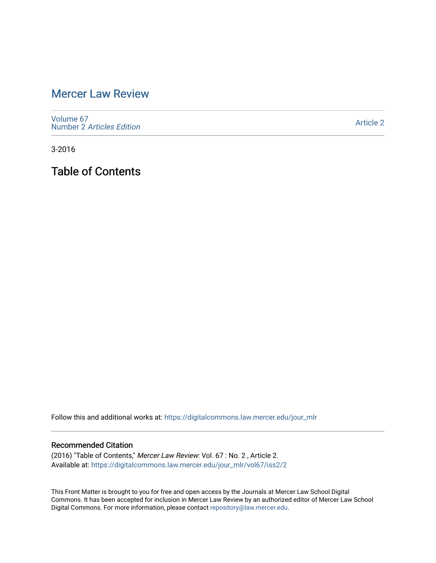# [Mercer Law Review](https://digitalcommons.law.mercer.edu/jour_mlr)

[Volume 67](https://digitalcommons.law.mercer.edu/jour_mlr/vol67) Number 2 [Articles Edition](https://digitalcommons.law.mercer.edu/jour_mlr/vol67/iss2) 

[Article 2](https://digitalcommons.law.mercer.edu/jour_mlr/vol67/iss2/2) 

3-2016

Table of Contents

Follow this and additional works at: [https://digitalcommons.law.mercer.edu/jour\\_mlr](https://digitalcommons.law.mercer.edu/jour_mlr?utm_source=digitalcommons.law.mercer.edu%2Fjour_mlr%2Fvol67%2Fiss2%2F2&utm_medium=PDF&utm_campaign=PDFCoverPages)

#### Recommended Citation

(2016) "Table of Contents," Mercer Law Review: Vol. 67 : No. 2 , Article 2. Available at: [https://digitalcommons.law.mercer.edu/jour\\_mlr/vol67/iss2/2](https://digitalcommons.law.mercer.edu/jour_mlr/vol67/iss2/2?utm_source=digitalcommons.law.mercer.edu%2Fjour_mlr%2Fvol67%2Fiss2%2F2&utm_medium=PDF&utm_campaign=PDFCoverPages)

This Front Matter is brought to you for free and open access by the Journals at Mercer Law School Digital Commons. It has been accepted for inclusion in Mercer Law Review by an authorized editor of Mercer Law School Digital Commons. For more information, please contact [repository@law.mercer.edu](mailto:repository@law.mercer.edu).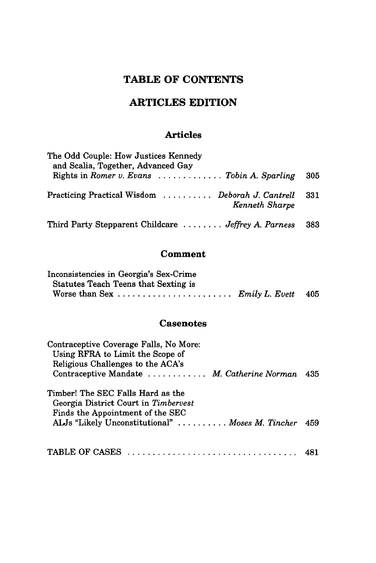## **TABLE OF CONTENTS**

### **ARTICLES EDITION**

### **Articles**

| The Odd Couple: How Justices Kennedy<br>and Scalia, Together, Advanced Gay |     |
|----------------------------------------------------------------------------|-----|
| Rights in Romer v. Evans $\ldots \ldots \ldots$ Tobin A. Sparling          | 305 |
| Practicing Practical Wisdom  Deborah J. Cantrell<br>Kenneth Sharpe         | 331 |
| Third Party Stepparent Childcare  Jeffrey A. Parness                       | 383 |

### **Comment**

| Inconsistencies in Georgia's Sex-Crime |  |
|----------------------------------------|--|
| Statutes Teach Teens that Sexting is   |  |
|                                        |  |

#### **Casenotes**

| Contraceptive Coverage Falls, No More:<br>Using RFRA to Limit the Scope of<br>Religious Challenges to the ACA's |  |
|-----------------------------------------------------------------------------------------------------------------|--|
| Contraceptive Mandate  M. Catherine Norman 435                                                                  |  |
| Timber! The SEC Falls Hard as the<br>Georgia District Court in Timbervest<br>Finds the Appointment of the SEC   |  |
| ALJs "Likely Unconstitutional"  Moses M. Tincher 459                                                            |  |
|                                                                                                                 |  |